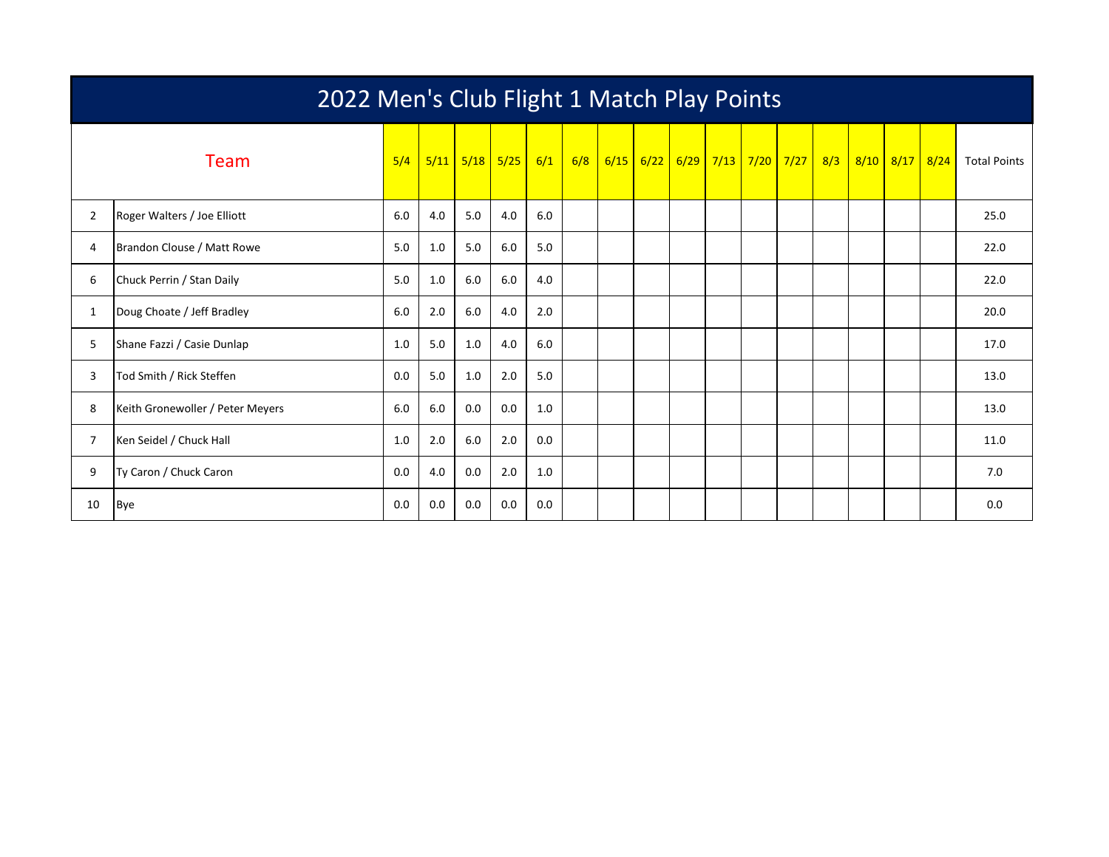|                | 2022 Men's Club Flight 1 Match Play Points |     |     |             |            |     |     |  |             |  |  |  |                                      |  |                |                     |
|----------------|--------------------------------------------|-----|-----|-------------|------------|-----|-----|--|-------------|--|--|--|--------------------------------------|--|----------------|---------------------|
|                | Team                                       | 5/4 |     | $5/11$ 5/18 | $5/25$ 6/1 |     | 6/8 |  | $6/15$ 6/22 |  |  |  | <mark>6/29 7/13 7/20 7/27 8/3</mark> |  | 8/10 8/17 8/24 | <b>Total Points</b> |
| $\overline{2}$ | Roger Walters / Joe Elliott                | 6.0 | 4.0 | 5.0         | 4.0        | 6.0 |     |  |             |  |  |  |                                      |  |                | 25.0                |
| 4              | Brandon Clouse / Matt Rowe                 | 5.0 | 1.0 | 5.0         | 6.0        | 5.0 |     |  |             |  |  |  |                                      |  |                | 22.0                |
| 6              | Chuck Perrin / Stan Daily                  | 5.0 | 1.0 | 6.0         | 6.0        | 4.0 |     |  |             |  |  |  |                                      |  |                | 22.0                |
| 1              | Doug Choate / Jeff Bradley                 | 6.0 | 2.0 | 6.0         | 4.0        | 2.0 |     |  |             |  |  |  |                                      |  |                | 20.0                |
| 5              | Shane Fazzi / Casie Dunlap                 | 1.0 | 5.0 | 1.0         | 4.0        | 6.0 |     |  |             |  |  |  |                                      |  |                | 17.0                |
| 3              | Tod Smith / Rick Steffen                   | 0.0 | 5.0 | 1.0         | 2.0        | 5.0 |     |  |             |  |  |  |                                      |  |                | 13.0                |
| 8              | Keith Gronewoller / Peter Meyers           | 6.0 | 6.0 | 0.0         | 0.0        | 1.0 |     |  |             |  |  |  |                                      |  |                | 13.0                |
| 7              | Ken Seidel / Chuck Hall                    | 1.0 | 2.0 | 6.0         | 2.0        | 0.0 |     |  |             |  |  |  |                                      |  |                | 11.0                |
| 9              | Ty Caron / Chuck Caron                     | 0.0 | 4.0 | 0.0         | 2.0        | 1.0 |     |  |             |  |  |  |                                      |  |                | 7.0                 |
| 10             | <b>Bye</b>                                 | 0.0 | 0.0 | 0.0         | 0.0        | 0.0 |     |  |             |  |  |  |                                      |  |                | 0.0                 |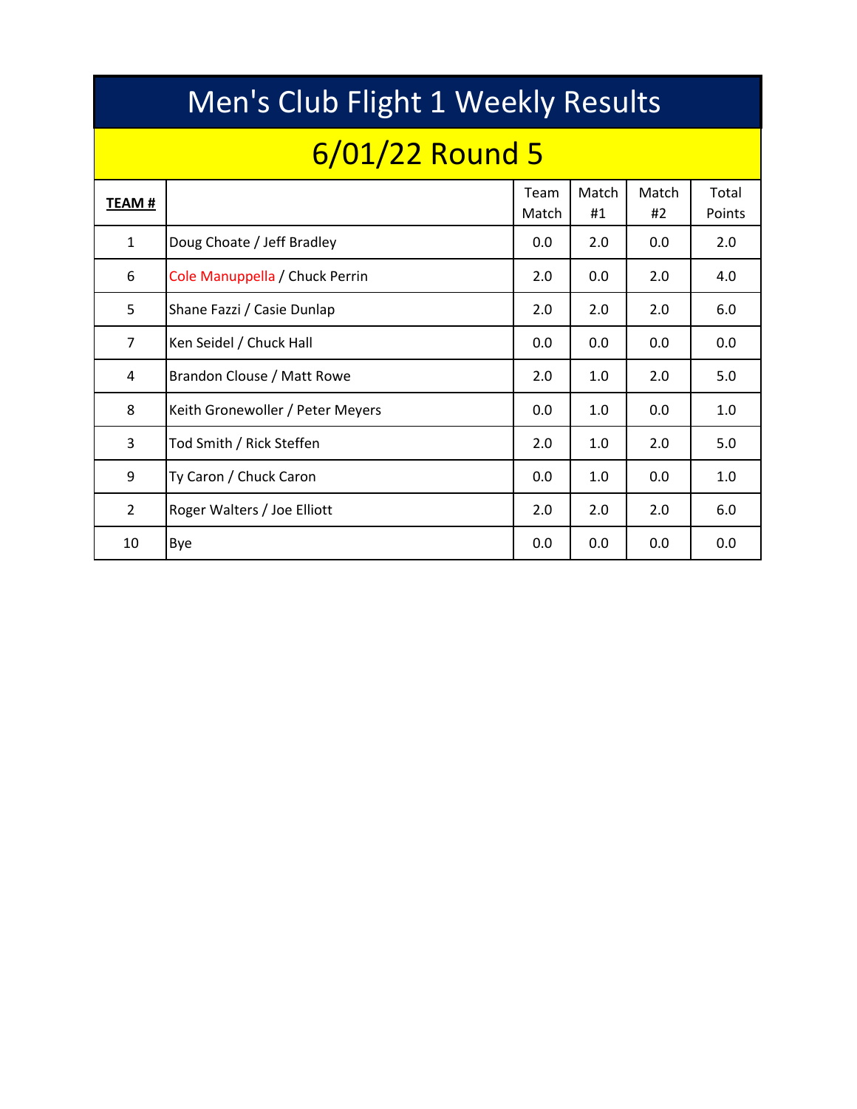|                | Men's Club Flight 1 Weekly Results |               |             |             |                 |  |  |  |  |  |  |  |  |  |
|----------------|------------------------------------|---------------|-------------|-------------|-----------------|--|--|--|--|--|--|--|--|--|
|                | 6/01/22 Round 5                    |               |             |             |                 |  |  |  |  |  |  |  |  |  |
| TEAM #         |                                    | Team<br>Match | Match<br>#1 | Match<br>#2 | Total<br>Points |  |  |  |  |  |  |  |  |  |
| $\mathbf{1}$   | Doug Choate / Jeff Bradley         | 0.0           | 2.0         | 0.0         | 2.0             |  |  |  |  |  |  |  |  |  |
| 6              | Cole Manuppella / Chuck Perrin     | 2.0           | 0.0         | 2.0         | 4.0             |  |  |  |  |  |  |  |  |  |
| 5              | Shane Fazzi / Casie Dunlap         | 2.0           | 2.0         | 2.0         | 6.0             |  |  |  |  |  |  |  |  |  |
| $\overline{7}$ | Ken Seidel / Chuck Hall            | 0.0           | 0.0         | 0.0         | 0.0             |  |  |  |  |  |  |  |  |  |
| 4              | Brandon Clouse / Matt Rowe         | 2.0           | 1.0         | 2.0         | 5.0             |  |  |  |  |  |  |  |  |  |
| 8              | Keith Gronewoller / Peter Meyers   | 0.0           | 1.0         | 0.0         | 1.0             |  |  |  |  |  |  |  |  |  |
| 3              | Tod Smith / Rick Steffen           | 2.0           | 1.0         | 2.0         | 5.0             |  |  |  |  |  |  |  |  |  |
| 9              | Ty Caron / Chuck Caron             | 0.0           | 1.0         | 0.0         | 1.0             |  |  |  |  |  |  |  |  |  |
| $\overline{2}$ | Roger Walters / Joe Elliott        | 2.0           | 2.0         | 2.0         | 6.0             |  |  |  |  |  |  |  |  |  |
| 10             | Bye                                | 0.0           | 0.0         | 0.0         | 0.0             |  |  |  |  |  |  |  |  |  |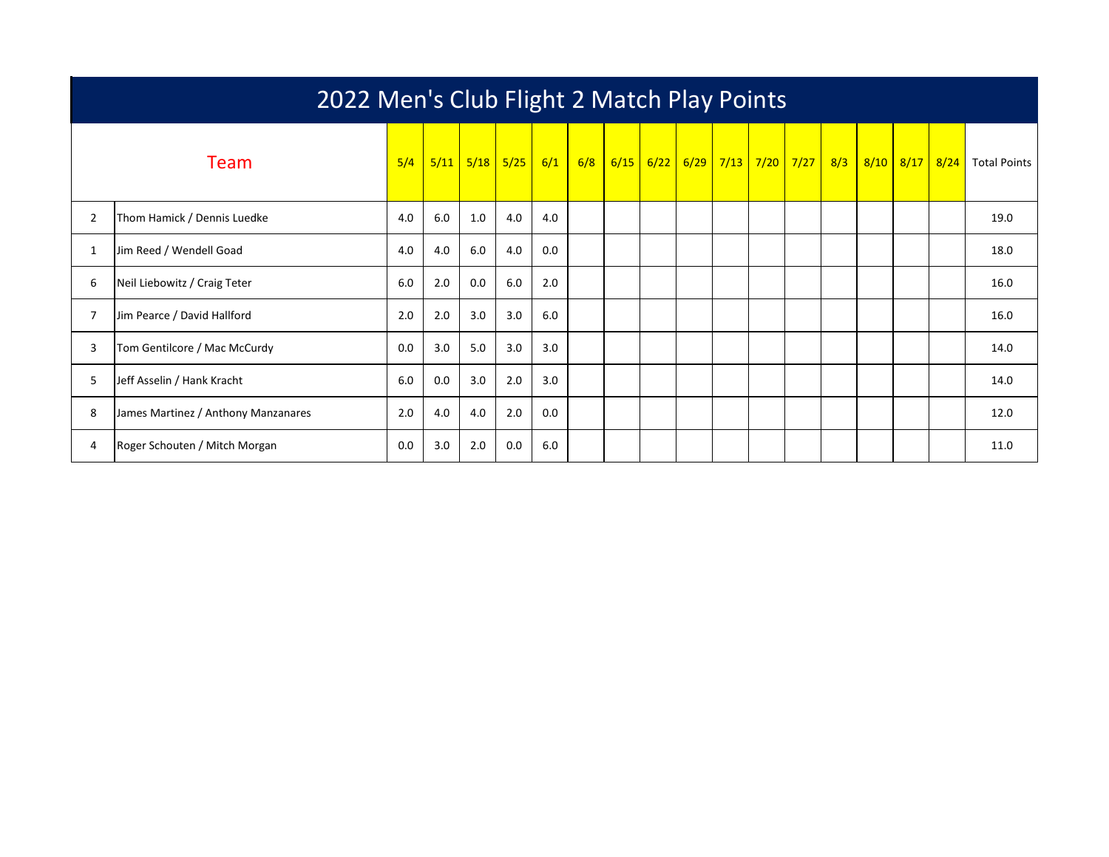|                | 2022 Men's Club Flight 2 Match Play Points |     |      |      |      |     |     |      |      |  |             |  |                        |     |      |      |      |                     |
|----------------|--------------------------------------------|-----|------|------|------|-----|-----|------|------|--|-------------|--|------------------------|-----|------|------|------|---------------------|
|                | <b>Team</b>                                | 5/4 | 5/11 | 5/18 | 5/25 | 6/1 | 6/8 | 6/15 | 6/22 |  | $6/29$ 7/13 |  | <mark>7/20 7/27</mark> | 8/3 | 8/10 | 8/17 | 8/24 | <b>Total Points</b> |
| $\overline{2}$ | Thom Hamick / Dennis Luedke                | 4.0 | 6.0  | 1.0  | 4.0  | 4.0 |     |      |      |  |             |  |                        |     |      |      |      | 19.0                |
|                | Jim Reed / Wendell Goad                    | 4.0 | 4.0  | 6.0  | 4.0  | 0.0 |     |      |      |  |             |  |                        |     |      |      |      | 18.0                |
| 6              | Neil Liebowitz / Craig Teter               | 6.0 | 2.0  | 0.0  | 6.0  | 2.0 |     |      |      |  |             |  |                        |     |      |      |      | 16.0                |
|                | Jim Pearce / David Hallford                | 2.0 | 2.0  | 3.0  | 3.0  | 6.0 |     |      |      |  |             |  |                        |     |      |      |      | 16.0                |
| 3              | Tom Gentilcore / Mac McCurdy               | 0.0 | 3.0  | 5.0  | 3.0  | 3.0 |     |      |      |  |             |  |                        |     |      |      |      | 14.0                |
| 5              | Jeff Asselin / Hank Kracht                 | 6.0 | 0.0  | 3.0  | 2.0  | 3.0 |     |      |      |  |             |  |                        |     |      |      |      | 14.0                |
| 8              | James Martinez / Anthony Manzanares        | 2.0 | 4.0  | 4.0  | 2.0  | 0.0 |     |      |      |  |             |  |                        |     |      |      |      | 12.0                |
| 4              | Roger Schouten / Mitch Morgan              | 0.0 | 3.0  | 2.0  | 0.0  | 6.0 |     |      |      |  |             |  |                        |     |      |      |      | 11.0                |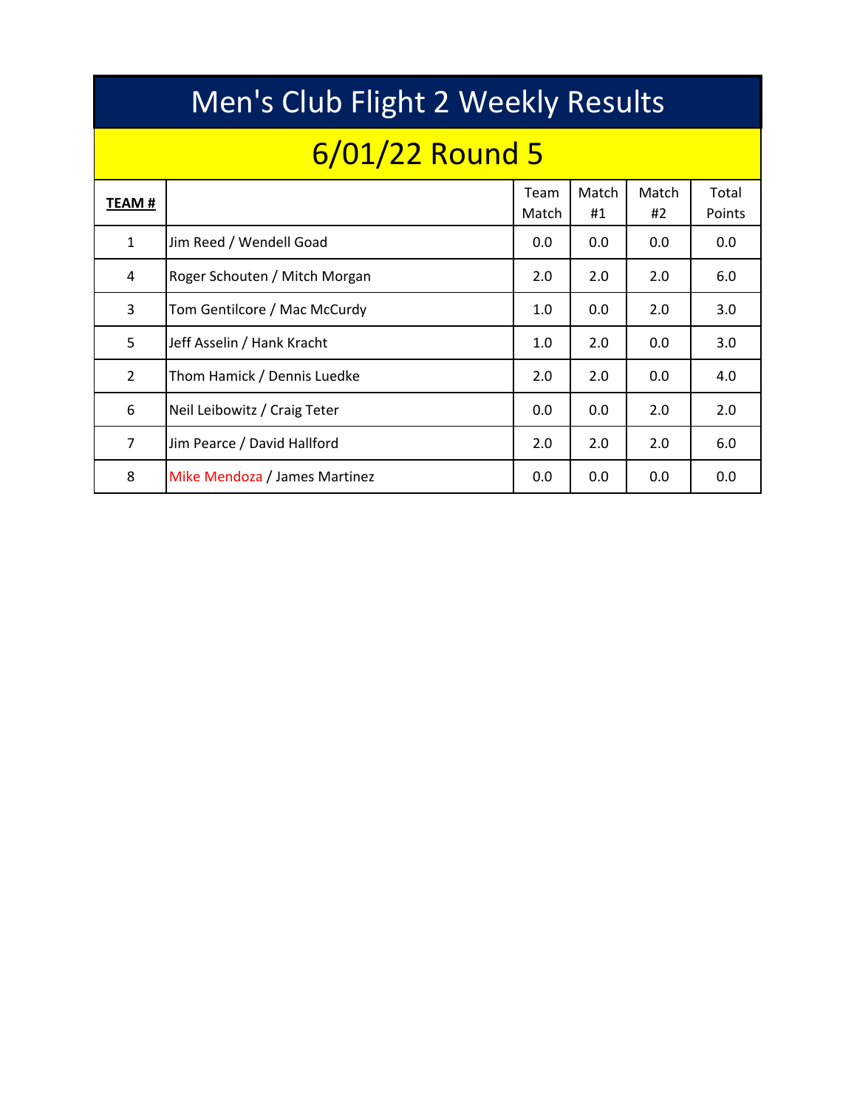|                | Men's Club Flight 2 Weekly Results |               |             |             |                 |  |  |  |  |  |  |  |  |  |  |
|----------------|------------------------------------|---------------|-------------|-------------|-----------------|--|--|--|--|--|--|--|--|--|--|
|                | 6/01/22 Round 5                    |               |             |             |                 |  |  |  |  |  |  |  |  |  |  |
| <b>TEAM#</b>   |                                    | Team<br>Match | Match<br>#1 | Match<br>#2 | Total<br>Points |  |  |  |  |  |  |  |  |  |  |
| $\mathbf{1}$   | Jim Reed / Wendell Goad            | 0.0           | 0.0         | 0.0         | 0.0             |  |  |  |  |  |  |  |  |  |  |
| 4              | Roger Schouten / Mitch Morgan      | 2.0           | 2.0         | 2.0         | 6.0             |  |  |  |  |  |  |  |  |  |  |
| 3              | Tom Gentilcore / Mac McCurdy       | 1.0           | 0.0         | 2.0         | 3.0             |  |  |  |  |  |  |  |  |  |  |
| 5              | Jeff Asselin / Hank Kracht         | 1.0           | 2.0         | 0.0         | 3.0             |  |  |  |  |  |  |  |  |  |  |
| $\overline{2}$ | Thom Hamick / Dennis Luedke        | 2.0           | 2.0         | 0.0         | 4.0             |  |  |  |  |  |  |  |  |  |  |
| 6              | Neil Leibowitz / Craig Teter       | 0.0           | 0.0         | 2.0         | 2.0             |  |  |  |  |  |  |  |  |  |  |
| $\overline{7}$ | Jim Pearce / David Hallford        | 2.0           | 2.0         | 2.0         | 6.0             |  |  |  |  |  |  |  |  |  |  |
| 8              | Mike Mendoza / James Martinez      | 0.0           | 0.0         | 0.0         | 0.0             |  |  |  |  |  |  |  |  |  |  |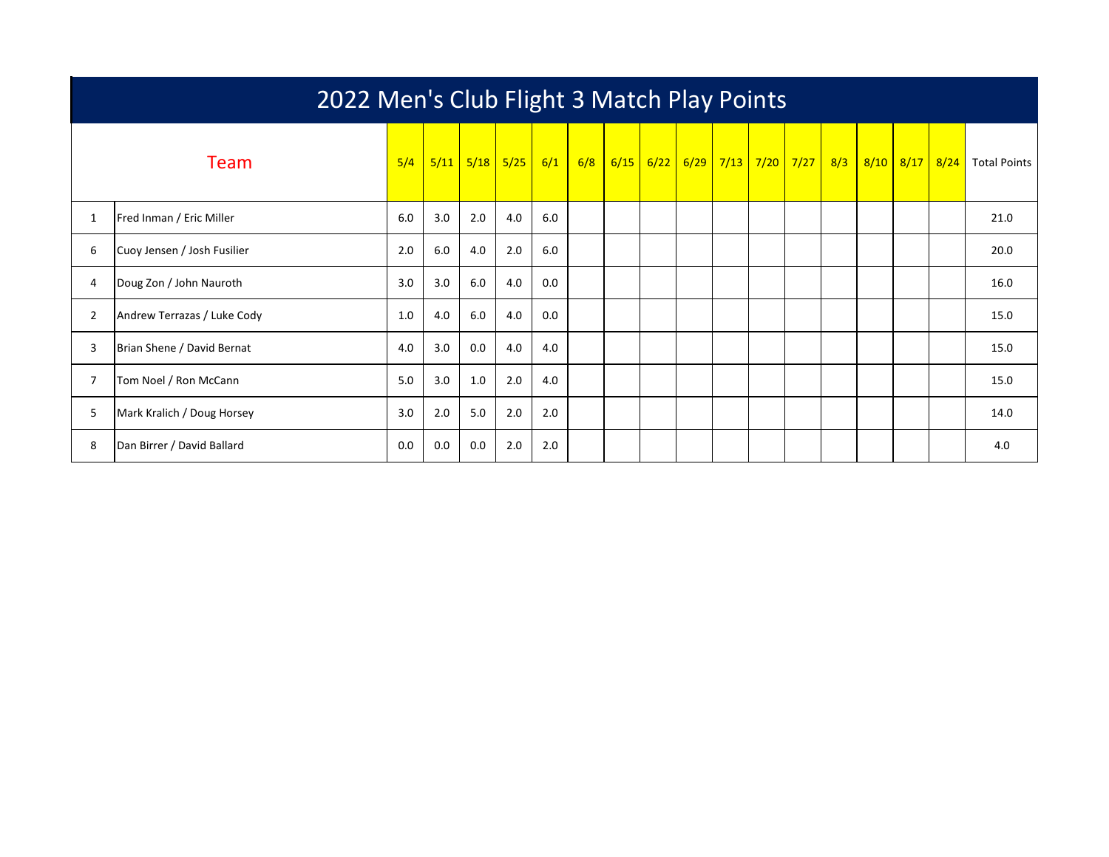|              | 2022 Men's Club Flight 3 Match Play Points |     |      |     |             |     |     |      |      |  |  |                                  |  |     |  |                |                     |
|--------------|--------------------------------------------|-----|------|-----|-------------|-----|-----|------|------|--|--|----------------------------------|--|-----|--|----------------|---------------------|
| <b>Team</b>  |                                            | 5/4 | 5/11 |     | $5/18$ 5/25 | 6/1 | 6/8 | 6/15 | 6/22 |  |  | <mark>6/29 7/13 7/20 7/27</mark> |  | 8/3 |  | 8/10 8/17 8/24 | <b>Total Points</b> |
| $\mathbf{1}$ | Fred Inman / Eric Miller                   | 6.0 | 3.0  | 2.0 | 4.0         | 6.0 |     |      |      |  |  |                                  |  |     |  |                | 21.0                |
| 6            | Cuoy Jensen / Josh Fusilier                | 2.0 | 6.0  | 4.0 | 2.0         | 6.0 |     |      |      |  |  |                                  |  |     |  |                | 20.0                |
| 4            | Doug Zon / John Nauroth                    | 3.0 | 3.0  | 6.0 | 4.0         | 0.0 |     |      |      |  |  |                                  |  |     |  |                | 16.0                |
| 2            | Andrew Terrazas / Luke Cody                | 1.0 | 4.0  | 6.0 | 4.0         | 0.0 |     |      |      |  |  |                                  |  |     |  |                | 15.0                |
| 3            | Brian Shene / David Bernat                 | 4.0 | 3.0  | 0.0 | 4.0         | 4.0 |     |      |      |  |  |                                  |  |     |  |                | 15.0                |
| 7            | Tom Noel / Ron McCann                      | 5.0 | 3.0  | 1.0 | 2.0         | 4.0 |     |      |      |  |  |                                  |  |     |  |                | 15.0                |
| 5            | Mark Kralich / Doug Horsey                 | 3.0 | 2.0  | 5.0 | 2.0         | 2.0 |     |      |      |  |  |                                  |  |     |  |                | 14.0                |
| 8            | Dan Birrer / David Ballard                 | 0.0 | 0.0  | 0.0 | 2.0         | 2.0 |     |      |      |  |  |                                  |  |     |  |                | 4.0                 |